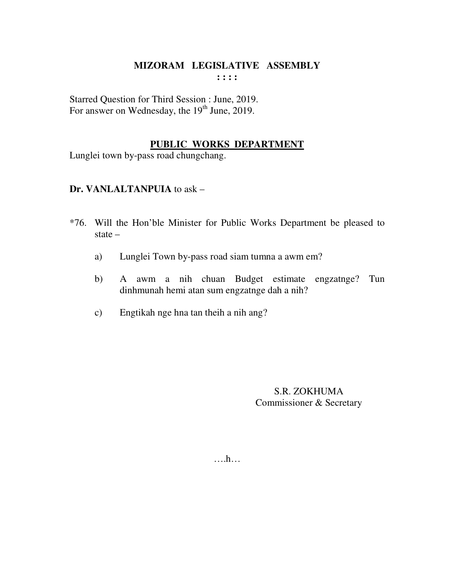Starred Question for Third Session : June, 2019. For answer on Wednesday, the 19<sup>th</sup> June, 2019.

#### **PUBLIC WORKS DEPARTMENT**

Lunglei town by-pass road chungchang.

## **Dr. VANLALTANPUIA** to ask –

- \*76. Will the Hon'ble Minister for Public Works Department be pleased to state –
	- a) Lunglei Town by-pass road siam tumna a awm em?
	- b) A awm a nih chuan Budget estimate engzatnge? Tun dinhmunah hemi atan sum engzatnge dah a nih?
	- c) Engtikah nge hna tan theih a nih ang?

S.R. ZOKHUMA Commissioner & Secretary

….h…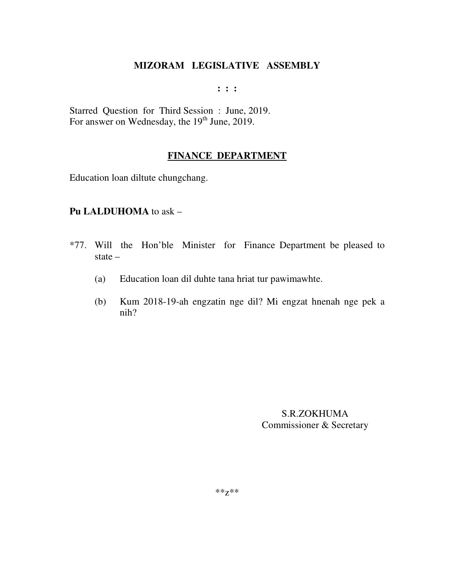**: : :** 

Starred Question for Third Session : June, 2019. For answer on Wednesday, the  $19<sup>th</sup>$  June, 2019.

#### **FINANCE DEPARTMENT**

Education loan diltute chungchang.

#### **Pu LALDUHOMA** to ask –

- \*77. Will the Hon'ble Minister for Finance Department be pleased to state –
	- (a) Education loan dil duhte tana hriat tur pawimawhte.
	- (b) Kum 2018-19-ah engzatin nge dil? Mi engzat hnenah nge pek a nih?

S.R.ZOKHUMA Commissioner & Secretary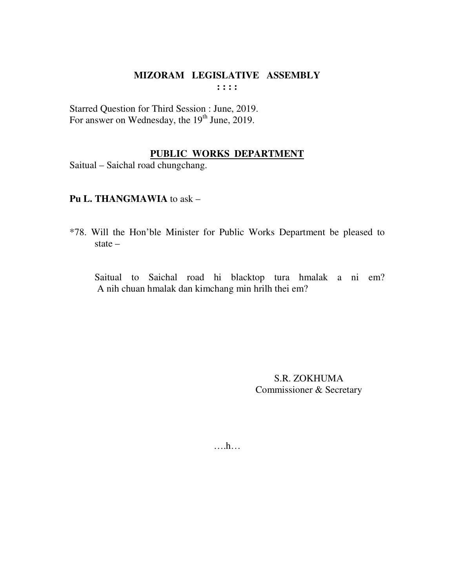Starred Question for Third Session : June, 2019. For answer on Wednesday, the 19<sup>th</sup> June, 2019.

# **PUBLIC WORKS DEPARTMENT**

Saitual – Saichal road chungchang.

#### **Pu L. THANGMAWIA** to ask –

\*78. Will the Hon'ble Minister for Public Works Department be pleased to state –

 Saitual to Saichal road hi blacktop tura hmalak a ni em? A nih chuan hmalak dan kimchang min hrilh thei em?

> S.R. ZOKHUMA Commissioner & Secretary

….h…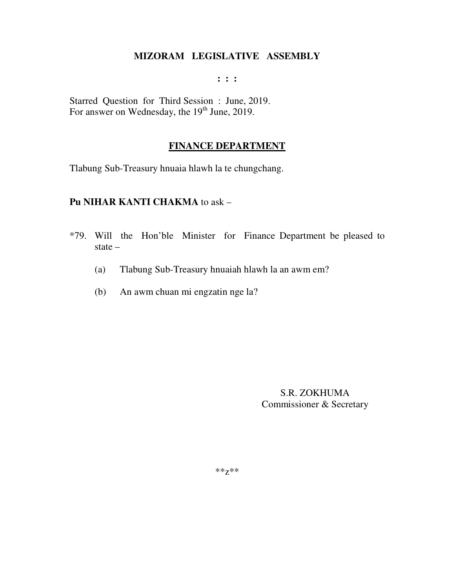**: : :** 

Starred Question for Third Session : June, 2019. For answer on Wednesday, the 19<sup>th</sup> June, 2019.

#### **FINANCE DEPARTMENT**

Tlabung Sub-Treasury hnuaia hlawh la te chungchang.

#### **Pu NIHAR KANTI CHAKMA** to ask –

- \*79. Will the Hon'ble Minister for Finance Department be pleased to state –
	- (a) Tlabung Sub-Treasury hnuaiah hlawh la an awm em?
	- (b) An awm chuan mi engzatin nge la?

S.R. ZOKHUMA Commissioner & Secretary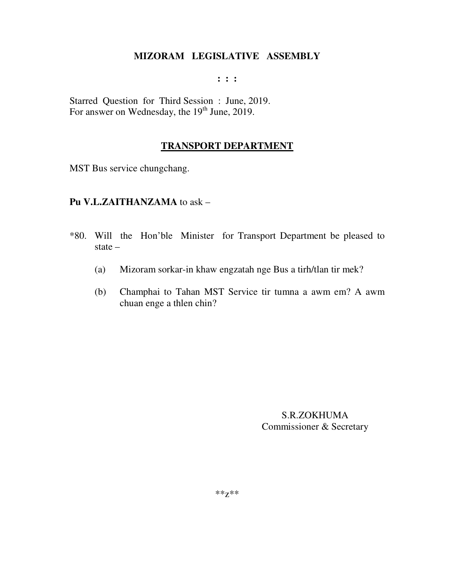#### **: : :**

Starred Question for Third Session : June, 2019. For answer on Wednesday, the 19<sup>th</sup> June, 2019.

#### **TRANSPORT DEPARTMENT**

MST Bus service chungchang.

#### **Pu V.L.ZAITHANZAMA** to ask –

- \*80. Will the Hon'ble Minister for Transport Department be pleased to state –
	- (a) Mizoram sorkar-in khaw engzatah nge Bus a tirh/tlan tir mek?
	- (b) Champhai to Tahan MST Service tir tumna a awm em? A awm chuan enge a thlen chin?

S.R.ZOKHUMA Commissioner & Secretary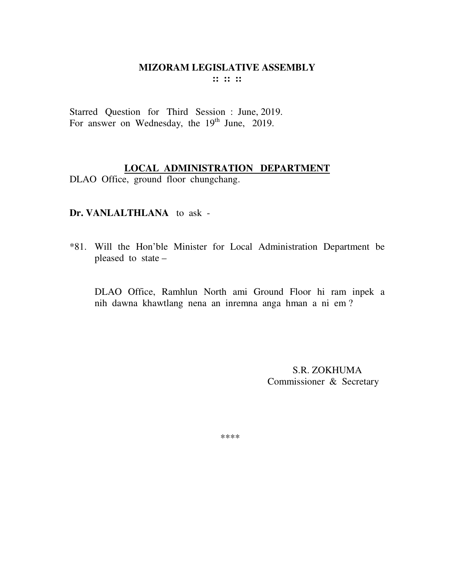Starred Question for Third Session : June, 2019. For answer on Wednesday, the 19<sup>th</sup> June, 2019.

## **LOCAL ADMINISTRATION DEPARTMENT**

DLAO Office, ground floor chungchang.

## **Dr. VANLALTHLANA** to ask -

\*81. Will the Hon'ble Minister for Local Administration Department be pleased to state –

DLAO Office, Ramhlun North ami Ground Floor hi ram inpek a nih dawna khawtlang nena an inremna anga hman a ni em ?

> S.R. ZOKHUMA Commissioner & Secretary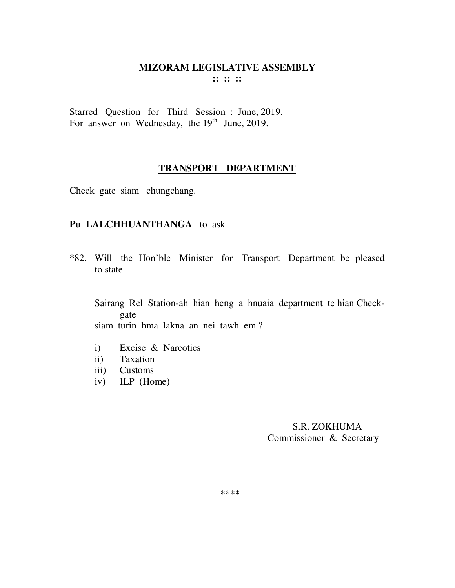Starred Question for Third Session : June, 2019. For answer on Wednesday, the  $19<sup>th</sup>$  June, 2019.

#### **TRANSPORT DEPARTMENT**

Check gate siam chungchang.

#### **Pu LALCHHUANTHANGA** to ask –

\*82. Will the Hon'ble Minister for Transport Department be pleased to state –

Sairang Rel Station-ah hian heng a hnuaia department te hian Checkgate siam turin hma lakna an nei tawh em ?

- i) Excise & Narcotics
- ii) Taxation
- iii) Customs
- iv) ILP (Home)

 S.R. ZOKHUMA Commissioner & Secretary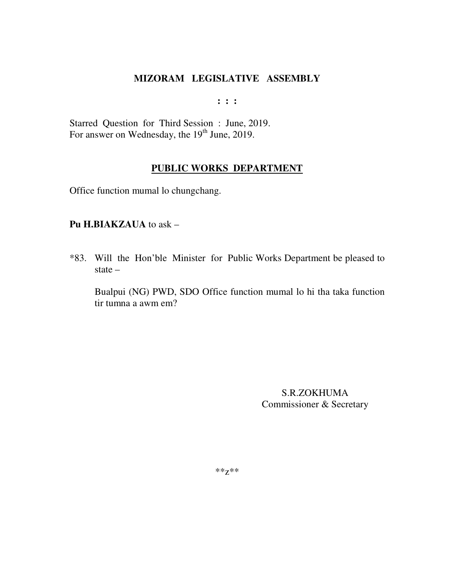**: : :** 

Starred Question for Third Session : June, 2019. For answer on Wednesday, the  $19<sup>th</sup>$  June, 2019.

## **PUBLIC WORKS DEPARTMENT**

Office function mumal lo chungchang.

#### **Pu H.BIAKZAUA** to ask –

\*83. Will the Hon'ble Minister for Public Works Department be pleased to state –

Bualpui (NG) PWD, SDO Office function mumal lo hi tha taka function tir tumna a awm em?

> S.R.ZOKHUMA Commissioner & Secretary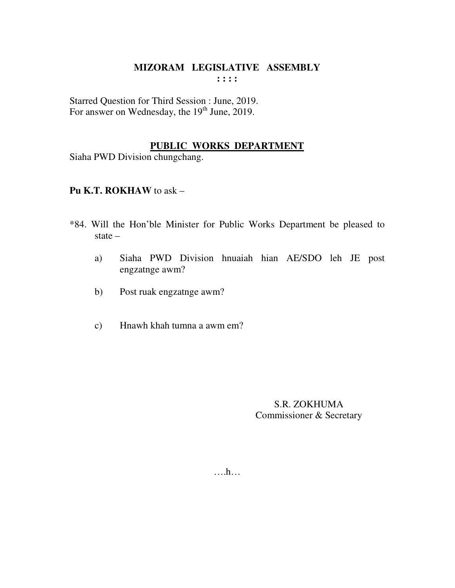Starred Question for Third Session : June, 2019. For answer on Wednesday, the 19<sup>th</sup> June, 2019.

#### PUBLIC WORKS DEPARTMENT

Siaha PWD Division chungchang.

## Pu K.T. ROKHAW to ask -

- \*84. Will the Hon'ble Minister for Public Works Department be pleased to state  $-$ 
	- Siaha PWD Division hnuaiah hian AE/SDO leh JE post a) engzatnge awm?
	- Post ruak engzatnge awm?  $b)$
	- Hnawh khah tumna a awm em?  $c)$

S.R. ZOKHUMA Commissioner & Secretary

 $\dots$ ...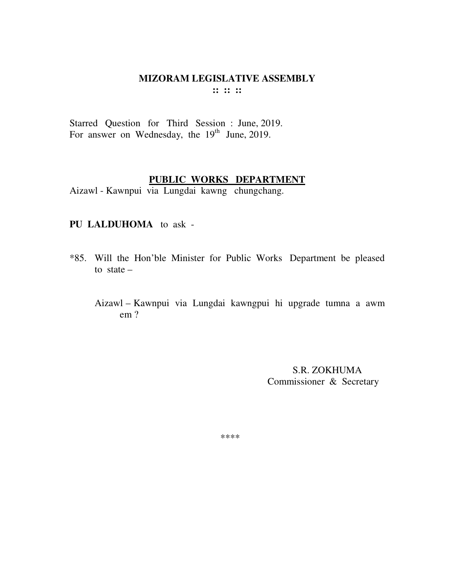Starred Question for Third Session : June, 2019. For answer on Wednesday, the  $19<sup>th</sup>$  June, 2019.

#### **PUBLIC WORKS DEPARTMENT**

Aizawl - Kawnpui via Lungdai kawng chungchang.

#### **PU LALDUHOMA** to ask -

- \*85. Will the Hon'ble Minister for Public Works Department be pleased to state  $-$ 
	- Aizawl Kawnpui via Lungdai kawngpui hi upgrade tumna a awm em ?

 S.R. ZOKHUMA Commissioner & Secretary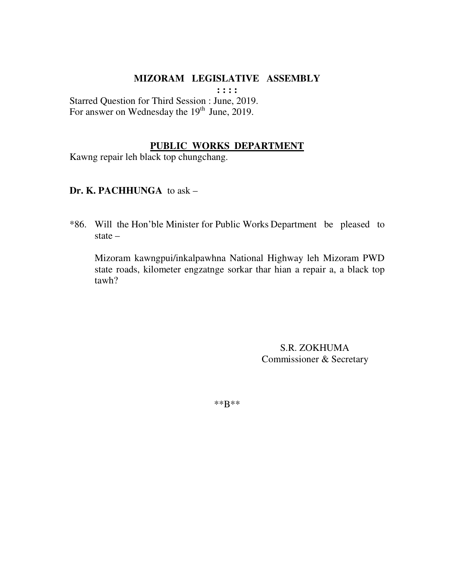**: : : :** 

Starred Question for Third Session : June, 2019. For answer on Wednesday the  $19<sup>th</sup>$  June, 2019.

#### **PUBLIC WORKS DEPARTMENT**

Kawng repair leh black top chungchang.

#### **Dr. K. PACHHUNGA** to ask –

\*86. Will the Hon'ble Minister for Public Works Department be pleased to state –

 Mizoram kawngpui/inkalpawhna National Highway leh Mizoram PWD state roads, kilometer engzatnge sorkar thar hian a repair a, a black top tawh?

> S.R. ZOKHUMA Commissioner & Secretary

\*\*B\*\*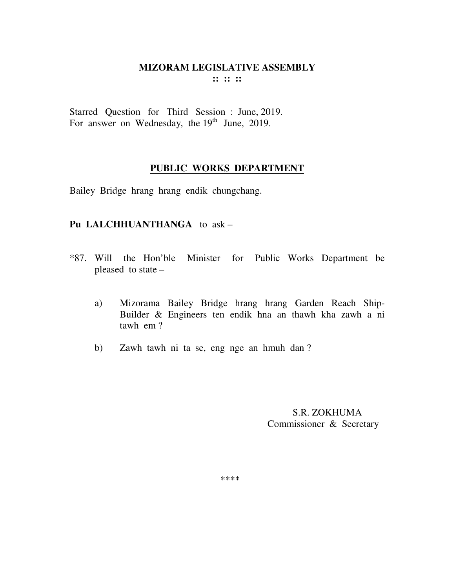Starred Question for Third Session : June, 2019. For answer on Wednesday, the  $19<sup>th</sup>$  June, 2019.

## **PUBLIC WORKS DEPARTMENT**

Bailey Bridge hrang hrang endik chungchang.

## **Pu LALCHHUANTHANGA** to ask –

- \*87. Will the Hon'ble Minister for Public Works Department be pleased to state –
	- a) Mizorama Bailey Bridge hrang hrang Garden Reach Ship-Builder & Engineers ten endik hna an thawh kha zawh a ni tawh em ?
	- b) Zawh tawh ni ta se, eng nge an hmuh dan ?

 S.R. ZOKHUMA Commissioner & Secretary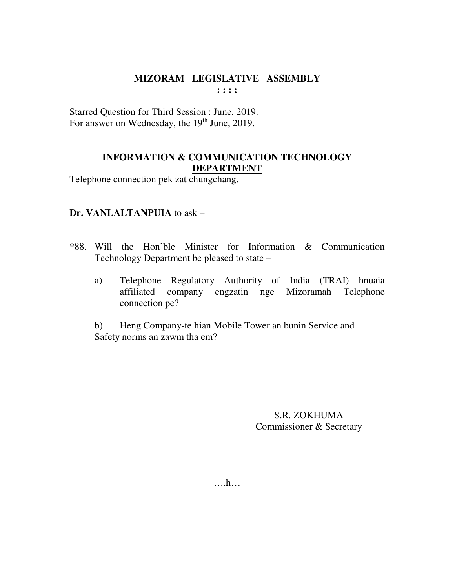Starred Question for Third Session : June, 2019. For answer on Wednesday, the 19<sup>th</sup> June, 2019.

## **INFORMATION & COMMUNICATION TECHNOLOGY DEPARTMENT**

Telephone connection pek zat chungchang.

## Dr. VANLALTANPUIA to ask -

- \*88. Will the Hon'ble Minister for Information & Communication Technology Department be pleased to state –
	- Telephone Regulatory Authority of India (TRAI) hnuaia a) affiliated company engzatin nge Mizoramah Telephone connection pe?

Heng Company-te hian Mobile Tower an bunin Service and  $b)$ Safety norms an zawm tha em?

> **S.R. ZOKHUMA** Commissioner & Secretary

 $\dots h\dots$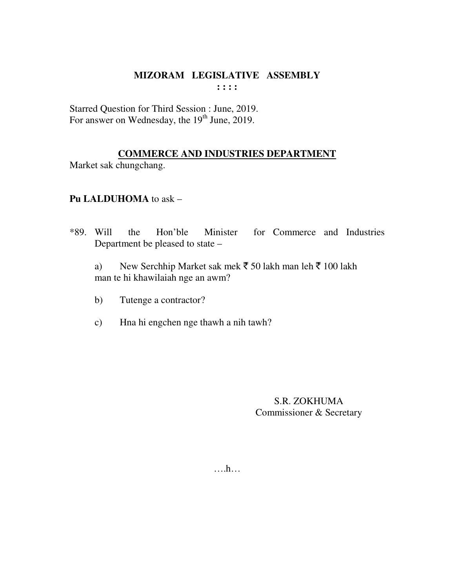Starred Question for Third Session : June, 2019. For answer on Wednesday, the 19<sup>th</sup> June, 2019.

## **COMMERCE AND INDUSTRIES DEPARTMENT**

Market sak chungchang.

## **Pu LALDUHOMA** to ask –

\*89. Will the Hon'ble Minister for Commerce and Industries Department be pleased to state –

a) New Serchhip Market sak mek  $\bar{5}$  50 lakh man leh  $\bar{5}$  100 lakh man te hi khawilaiah nge an awm?

- b) Tutenge a contractor?
- c) Hna hi engchen nge thawh a nih tawh?

S.R. ZOKHUMA Commissioner & Secretary

….h…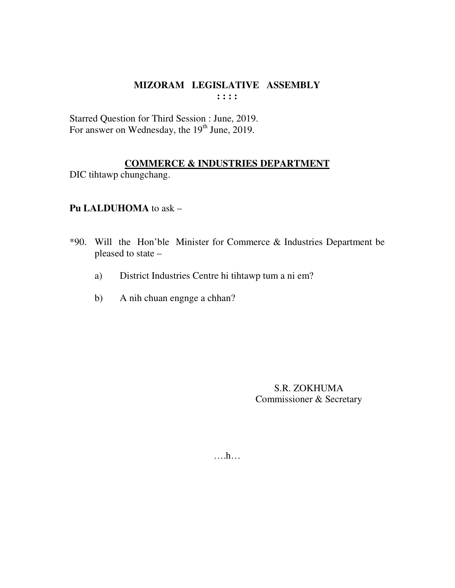Starred Question for Third Session : June, 2019. For answer on Wednesday, the 19<sup>th</sup> June, 2019.

## **COMMERCE & INDUSTRIES DEPARTMENT**

DIC tihtawp chungchang.

## Pu LALDUHOMA to ask -

- \*90. Will the Hon'ble Minister for Commerce & Industries Department be pleased to state -
	- District Industries Centre hi tihtawp tum a ni em? a)
	- A nih chuan engnge a chhan?  $b)$

S.R. ZOKHUMA Commissioner & Secretary

 $\dots$ ...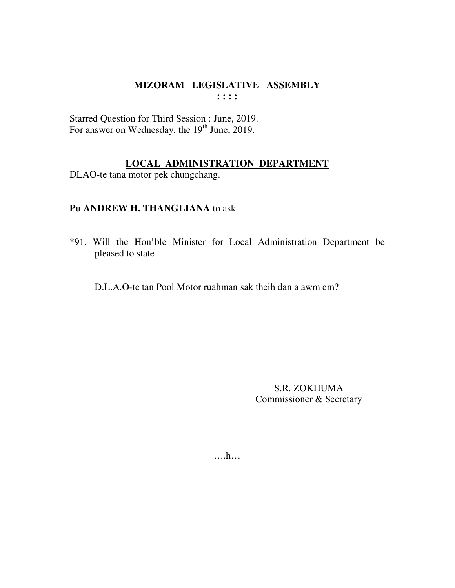Starred Question for Third Session : June, 2019. For answer on Wednesday, the 19<sup>th</sup> June, 2019.

#### LOCAL ADMINISTRATION DEPARTMENT

DLAO-te tana motor pek chungchang.

## Pu ANDREW H. THANGLIANA to ask -

\*91. Will the Hon'ble Minister for Local Administration Department be pleased to state –

D.L.A.O-te tan Pool Motor ruahman sak theih dan a awm em?

S.R. ZOKHUMA Commissioner & Secretary

 $\dots$ ...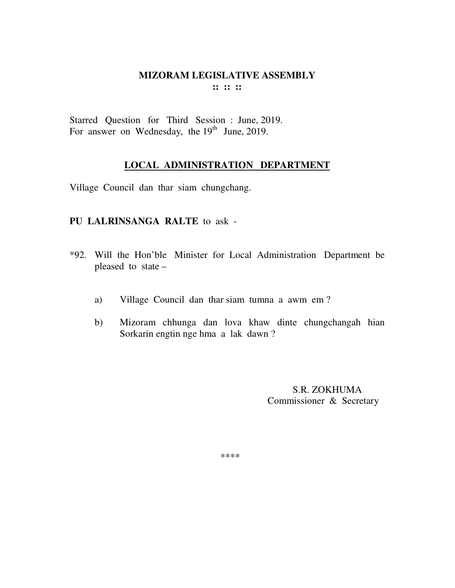Starred Question for Third Session : June, 2019. For answer on Wednesday, the  $19<sup>th</sup>$  June, 2019.

#### **LOCAL ADMINISTRATION DEPARTMENT**

Village Council dan thar siam chungchang.

#### **PU LALRINSANGA RALTE** to ask -

- \*92. Will the Hon'ble Minister for Local Administration Department be pleased to state –
	- a) Village Council dan thar siam tumna a awm em ?
	- b) Mizoram chhunga dan lova khaw dinte chungchangah hian Sorkarin engtin nge hma a lak dawn ?

 S.R. ZOKHUMA Commissioner & Secretary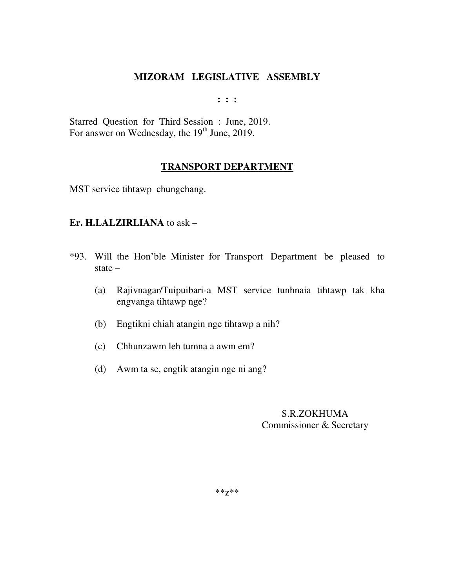**: : :** 

Starred Question for Third Session : June, 2019. For answer on Wednesday, the  $19<sup>th</sup>$  June, 2019.

## **TRANSPORT DEPARTMENT**

MST service tihtawp chungchang.

#### **Er. H.LALZIRLIANA** to ask –

- \*93. Will the Hon'ble Minister for Transport Department be pleased to state –
	- (a) Rajivnagar/Tuipuibari-a MST service tunhnaia tihtawp tak kha engvanga tihtawp nge?
	- (b) Engtikni chiah atangin nge tihtawp a nih?
	- (c) Chhunzawm leh tumna a awm em?
	- (d) Awm ta se, engtik atangin nge ni ang?

## S.R.ZOKHUMA Commissioner & Secretary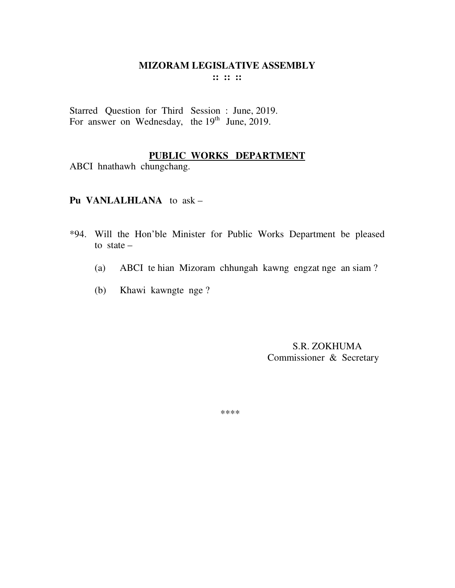Starred Question for Third Session : June, 2019. For answer on Wednesday, the 19<sup>th</sup> June, 2019.

## **PUBLIC WORKS DEPARTMENT**

ABCI hnathawh chungchang.

**Pu VANLALHLANA** to ask –

- \*94. Will the Hon'ble Minister for Public Works Department be pleased to state  $-$ 
	- (a) ABCI te hian Mizoram chhungah kawng engzat nge an siam ?
	- (b) Khawi kawngte nge ?

 S.R. ZOKHUMA Commissioner & Secretary